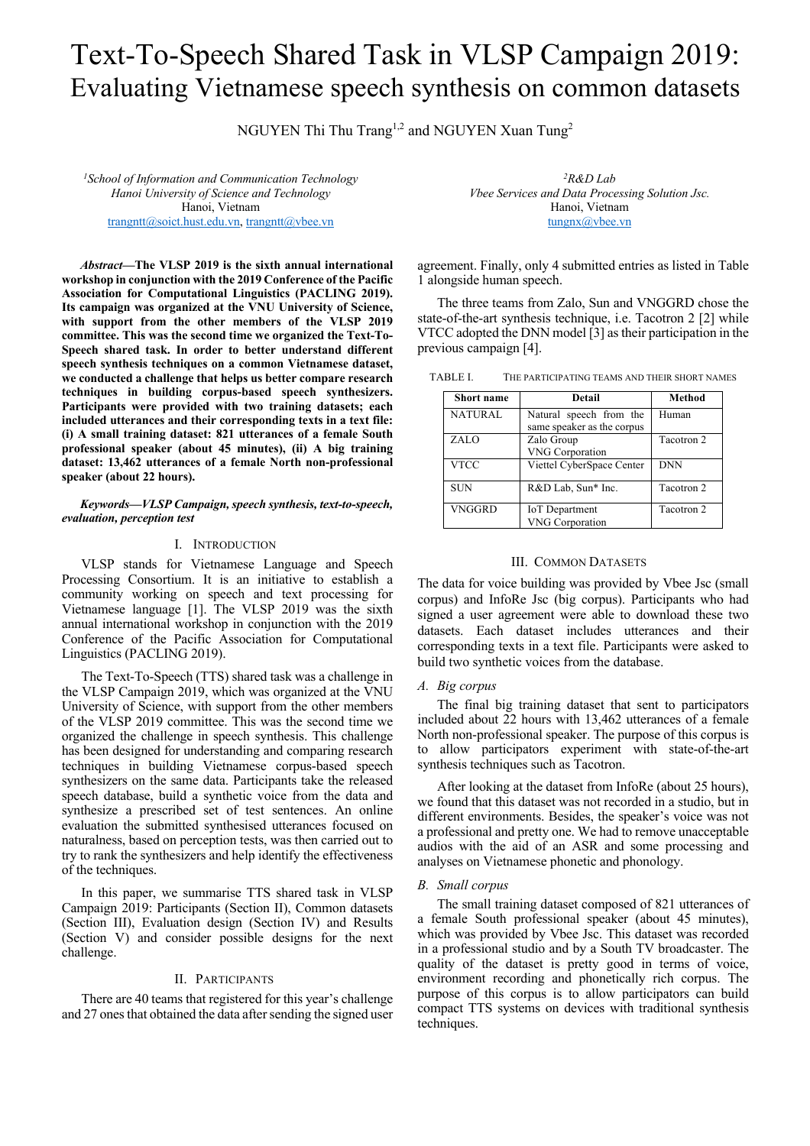# Text-To-Speech Shared Task in VLSP Campaign 2019: Evaluating Vietnamese speech synthesis on common datasets

NGUYEN Thi Thu Trang<sup>1,2</sup> and NGUYEN Xuan Tung<sup>2</sup>

*1 School of Information and Communication Technology Hanoi University of Science and Technology* Hanoi, Vietnam trangntt@soict.hust.edu.vn, trangntt@vbee.vn

*Abstract***—The VLSP 2019 is the sixth annual international workshop in conjunction with the 2019 Conference of the Pacific Association for Computational Linguistics (PACLING 2019). Its campaign was organized at the VNU University of Science, with support from the other members of the VLSP 2019 committee. This was the second time we organized the Text-To-Speech shared task. In order to better understand different speech synthesis techniques on a common Vietnamese dataset, we conducted a challenge that helps us better compare research techniques in building corpus-based speech synthesizers. Participants were provided with two training datasets; each included utterances and their corresponding texts in a text file: (i) A small training dataset: 821 utterances of a female South professional speaker (about 45 minutes), (ii) A big training dataset: 13,462 utterances of a female North non-professional speaker (about 22 hours).**

*Keywords—VLSP Campaign, speech synthesis, text-to-speech, evaluation, perception test*

## I. INTRODUCTION

VLSP stands for Vietnamese Language and Speech Processing Consortium. It is an initiative to establish a community working on speech and text processing for Vietnamese language [1]. The VLSP 2019 was the sixth annual international workshop in conjunction with the 2019 Conference of the Pacific Association for Computational Linguistics (PACLING 2019).

The Text-To-Speech (TTS) shared task was a challenge in the VLSP Campaign 2019, which was organized at the VNU University of Science, with support from the other members of the VLSP 2019 committee. This was the second time we organized the challenge in speech synthesis. This challenge has been designed for understanding and comparing research techniques in building Vietnamese corpus-based speech synthesizers on the same data. Participants take the released speech database, build a synthetic voice from the data and synthesize a prescribed set of test sentences. An online evaluation the submitted synthesised utterances focused on naturalness, based on perception tests, was then carried out to try to rank the synthesizers and help identify the effectiveness of the techniques.

In this paper, we summarise TTS shared task in VLSP Campaign 2019: Participants (Section II), Common datasets (Section III), Evaluation design (Section IV) and Results (Section V) and consider possible designs for the next challenge.

## II. PARTICIPANTS

There are 40 teams that registered for this year's challenge and 27 ones that obtained the data after sending the signed user

*2 R&D Lab Vbee Services and Data Processing Solution Jsc.* Hanoi, Vietnam tungnx@vbee.vn

agreement. Finally, only 4 submitted entries as listed in Table 1 alongside human speech.

The three teams from Zalo, Sun and VNGGRD chose the state-of-the-art synthesis technique, i.e. Tacotron 2 [2] while VTCC adopted the DNN model [3] as their participation in the previous campaign [4].

| TABLE I. | THE PARTICIPATING TEAMS AND THEIR SHORT NAMES |
|----------|-----------------------------------------------|
|          |                                               |

| <b>Short name</b> | <b>Detail</b>              | Method     |  |
|-------------------|----------------------------|------------|--|
| <b>NATURAL</b>    | Natural speech from the    | Human      |  |
|                   | same speaker as the corpus |            |  |
| ZALO              | Zalo Group                 | Tacotron 2 |  |
|                   | VNG Corporation            |            |  |
| <b>VTCC</b>       | Viettel CyberSpace Center  | <b>DNN</b> |  |
| <b>SUN</b>        | R&D Lab, Sun* Inc.         | Tacotron 2 |  |
| <b>VNGGRD</b>     | IoT Department             | Tacotron 2 |  |
|                   | <b>VNG</b> Corporation     |            |  |

## III. COMMON DATASETS

The data for voice building was provided by Vbee Jsc (small corpus) and InfoRe Jsc (big corpus). Participants who had signed a user agreement were able to download these two datasets. Each dataset includes utterances and their corresponding texts in a text file. Participants were asked to build two synthetic voices from the database.

## *A. Big corpus*

The final big training dataset that sent to participators included about 22 hours with 13,462 utterances of a female North non-professional speaker. The purpose of this corpus is to allow participators experiment with state-of-the-art synthesis techniques such as Tacotron.

After looking at the dataset from InfoRe (about 25 hours), we found that this dataset was not recorded in a studio, but in different environments. Besides, the speaker's voice was not a professional and pretty one. We had to remove unacceptable audios with the aid of an ASR and some processing and analyses on Vietnamese phonetic and phonology.

## *B. Small corpus*

The small training dataset composed of 821 utterances of a female South professional speaker (about 45 minutes), which was provided by Vbee Jsc. This dataset was recorded in a professional studio and by a South TV broadcaster. The quality of the dataset is pretty good in terms of voice, environment recording and phonetically rich corpus. The purpose of this corpus is to allow participators can build compact TTS systems on devices with traditional synthesis techniques.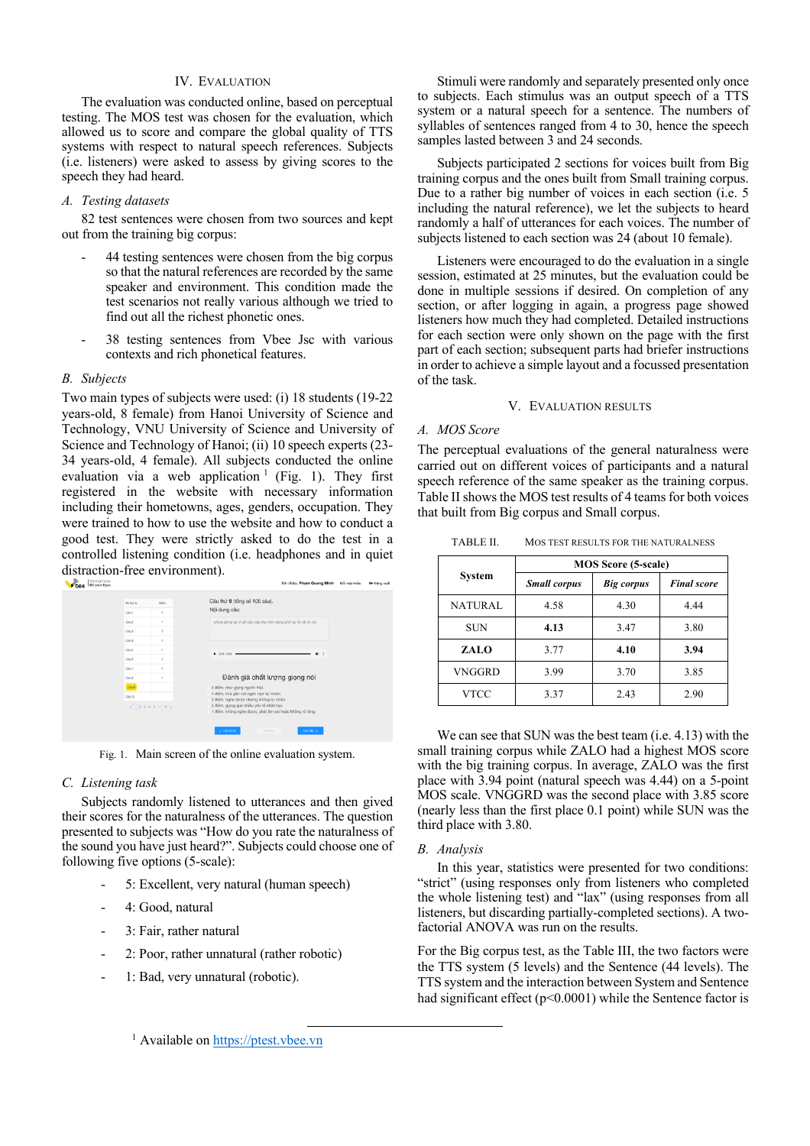## IV. EVALUATION

The evaluation was conducted online, based on perceptual testing. The MOS test was chosen for the evaluation, which allowed us to score and compare the global quality of TTS systems with respect to natural speech references. Subjects (i.e. listeners) were asked to assess by giving scores to the speech they had heard.

## *A. Testing datasets*

82 test sentences were chosen from two sources and kept out from the training big corpus:

- 44 testing sentences were chosen from the big corpus so that the natural references are recorded by the same speaker and environment. This condition made the test scenarios not really various although we tried to find out all the richest phonetic ones.
- 38 testing sentences from Vbee Jsc with various contexts and rich phonetical features.

#### *B. Subjects*

Two main types of subjects were used: (i) 18 students (19-22 years-old, 8 female) from Hanoi University of Science and Technology, VNU University of Science and University of Science and Technology of Hanoi; (ii) 10 speech experts (23-34 years-old, 4 female). All subjects conducted the online evaluation via a web application  $(Fig. 1)$ . They first registered in the website with necessary information including their hometowns, ages, genders, occupation. They were trained to how to use the website and how to conduct a good test. They were strictly asked to do the test in a controlled listening condition (i.e. headphones and in quiet distraction-free environment).



Fig. 1. Main screen of the online evaluation system.

### *C. Listening task*

Subjects randomly listened to utterances and then gived their scores for the naturalness of the utterances. The question presented to subjects was "How do you rate the naturalness of the sound you have just heard?". Subjects could choose one of following five options (5-scale):

- 5: Excellent, very natural (human speech)
- 4: Good, natural
- 3: Fair, rather natural
- 2: Poor, rather unnatural (rather robotic)
- 1: Bad, very unnatural (robotic).

Stimuli were randomly and separately presented only once to subjects. Each stimulus was an output speech of a TTS system or a natural speech for a sentence. The numbers of syllables of sentences ranged from 4 to 30, hence the speech samples lasted between 3 and 24 seconds.

Subjects participated 2 sections for voices built from Big training corpus and the ones built from Small training corpus. Due to a rather big number of voices in each section (i.e. 5 including the natural reference), we let the subjects to heard randomly a half of utterances for each voices. The number of subjects listened to each section was 24 (about 10 female).

Listeners were encouraged to do the evaluation in a single session, estimated at 25 minutes, but the evaluation could be done in multiple sessions if desired. On completion of any section, or after logging in again, a progress page showed listeners how much they had completed. Detailed instructions for each section were only shown on the page with the first part of each section; subsequent parts had briefer instructions in order to achieve a simple layout and a focussed presentation of the task.

#### V. EVALUATION RESULTS

#### *A. MOS Score*

The perceptual evaluations of the general naturalness were carried out on different voices of participants and a natural speech reference of the same speaker as the training corpus. Table II shows the MOS test results of 4 teams for both voices that built from Big corpus and Small corpus.

TABLE II. MOS TEST RESULTS FOR THE NATURALNESS

|                | <b>MOS Score (5-scale)</b> |                                         |      |  |  |
|----------------|----------------------------|-----------------------------------------|------|--|--|
| <b>System</b>  | <b>Small corpus</b>        | <b>Final score</b><br><b>Big corpus</b> |      |  |  |
| <b>NATURAL</b> | 4.58                       | 4.30                                    | 4.44 |  |  |
| <b>SUN</b>     | 4.13                       | 3.47                                    | 3.80 |  |  |
| ZALO           | 3.77                       | 4.10                                    | 3.94 |  |  |
| VNGGRD         | 3.99                       | 3.70                                    | 3.85 |  |  |
| VTCC           | 3.37                       | 2.43                                    | 2.90 |  |  |

We can see that SUN was the best team (i.e. 4.13) with the small training corpus while ZALO had a highest MOS score with the big training corpus. In average, ZALO was the first place with 3.94 point (natural speech was 4.44) on a 5-point MOS scale. VNGGRD was the second place with 3.85 score (nearly less than the first place 0.1 point) while SUN was the third place with 3.80.

#### *B. Analysis*

In this year, statistics were presented for two conditions: "strict" (using responses only from listeners who completed the whole listening test) and "lax" (using responses from all listeners, but discarding partially-completed sections). A twofactorial ANOVA was run on the results.

For the Big corpus test, as the Table III, the two factors were the TTS system (5 levels) and the Sentence (44 levels). The TTS system and the interaction between System and Sentence had significant effect ( $p$ <0.0001) while the Sentence factor is

<sup>&</sup>lt;sup>1</sup> Available on https://ptest.vbee.vn